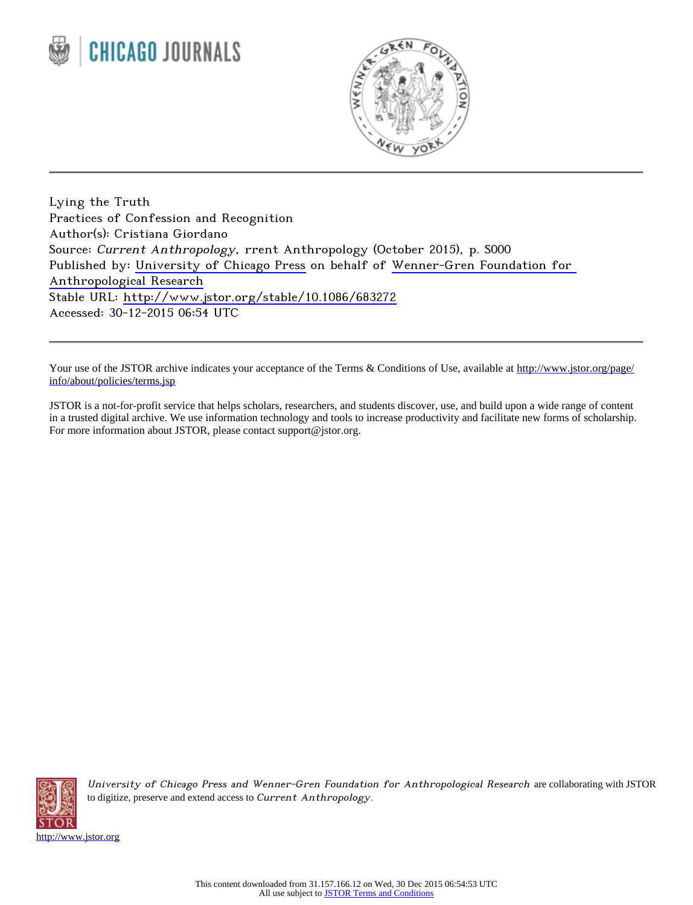



Lying the Truth Practices of Confession and Recognition Author(s): Cristiana Giordano Source: Current Anthropology, rrent Anthropology (October 2015), p. S000 Published by: [University of Chicago Press](http://www.jstor.org/publisher/ucpress) on behalf of [Wenner-Gren Foundation for](http://www.jstor.org/publisher/wennergren)  [Anthropological Research](http://www.jstor.org/publisher/wennergren) Stable URL: <http://www.jstor.org/stable/10.1086/683272> Accessed: 30-12-2015 06:54 UTC

Your use of the JSTOR archive indicates your acceptance of the Terms & Conditions of Use, available at [http://www.jstor.org/page/](http://www.jstor.org/page/info/about/policies/terms.jsp) [info/about/policies/terms.jsp](http://www.jstor.org/page/info/about/policies/terms.jsp)

JSTOR is a not-for-profit service that helps scholars, researchers, and students discover, use, and build upon a wide range of content in a trusted digital archive. We use information technology and tools to increase productivity and facilitate new forms of scholarship. For more information about JSTOR, please contact support@jstor.org.



University of Chicago Press and Wenner-Gren Foundation for Anthropological Research are collaborating with JSTOR to digitize, preserve and extend access to Current Anthropology.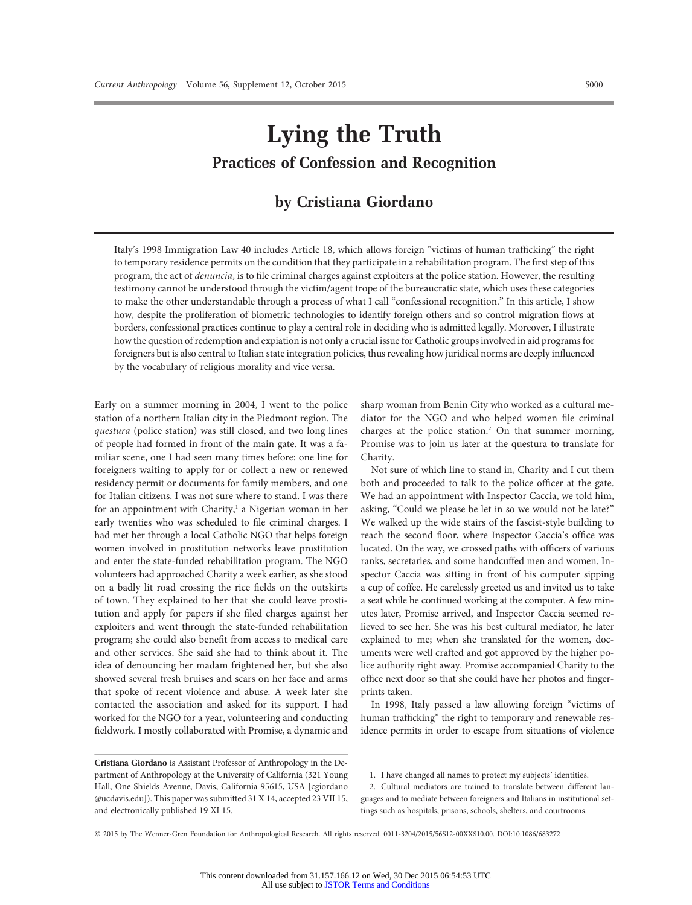# Lying the Truth Practices of Confession and Recognition

## by Cristiana Giordano

Italy's 1998 Immigration Law 40 includes Article 18, which allows foreign "victims of human trafficking" the right to temporary residence permits on the condition that they participate in a rehabilitation program. The first step of this program, the act of denuncia, is to file criminal charges against exploiters at the police station. However, the resulting testimony cannot be understood through the victim/agent trope of the bureaucratic state, which uses these categories to make the other understandable through a process of what I call "confessional recognition." In this article, I show how, despite the proliferation of biometric technologies to identify foreign others and so control migration flows at borders, confessional practices continue to play a central role in deciding who is admitted legally. Moreover, I illustrate how the question of redemption and expiation is not only a crucial issue for Catholic groups involved in aid programs for foreigners but is also central to Italian state integration policies, thus revealing how juridical norms are deeply influenced by the vocabulary of religious morality and vice versa.

Early on a summer morning in 2004, I went to the police station of a northern Italian city in the Piedmont region. The questura (police station) was still closed, and two long lines of people had formed in front of the main gate. It was a familiar scene, one I had seen many times before: one line for foreigners waiting to apply for or collect a new or renewed residency permit or documents for family members, and one for Italian citizens. I was not sure where to stand. I was there for an appointment with Charity,<sup>1</sup> a Nigerian woman in her early twenties who was scheduled to file criminal charges. I had met her through a local Catholic NGO that helps foreign women involved in prostitution networks leave prostitution and enter the state-funded rehabilitation program. The NGO volunteers had approached Charity a week earlier, as she stood on a badly lit road crossing the rice fields on the outskirts of town. They explained to her that she could leave prostitution and apply for papers if she filed charges against her exploiters and went through the state-funded rehabilitation program; she could also benefit from access to medical care and other services. She said she had to think about it. The idea of denouncing her madam frightened her, but she also showed several fresh bruises and scars on her face and arms that spoke of recent violence and abuse. A week later she contacted the association and asked for its support. I had worked for the NGO for a year, volunteering and conducting fieldwork. I mostly collaborated with Promise, a dynamic and

sharp woman from Benin City who worked as a cultural mediator for the NGO and who helped women file criminal charges at the police station.<sup>2</sup> On that summer morning, Promise was to join us later at the questura to translate for Charity.

Not sure of which line to stand in, Charity and I cut them both and proceeded to talk to the police officer at the gate. We had an appointment with Inspector Caccia, we told him, asking, "Could we please be let in so we would not be late?" We walked up the wide stairs of the fascist-style building to reach the second floor, where Inspector Caccia's office was located. On the way, we crossed paths with officers of various ranks, secretaries, and some handcuffed men and women. Inspector Caccia was sitting in front of his computer sipping a cup of coffee. He carelessly greeted us and invited us to take a seat while he continued working at the computer. A few minutes later, Promise arrived, and Inspector Caccia seemed relieved to see her. She was his best cultural mediator, he later explained to me; when she translated for the women, documents were well crafted and got approved by the higher police authority right away. Promise accompanied Charity to the office next door so that she could have her photos and fingerprints taken.

In 1998, Italy passed a law allowing foreign "victims of human trafficking" the right to temporary and renewable residence permits in order to escape from situations of violence

1. I have changed all names to protect my subjects' identities.

2. Cultural mediators are trained to translate between different languages and to mediate between foreigners and Italians in institutional settings such as hospitals, prisons, schools, shelters, and courtrooms.

Cristiana Giordano is Assistant Professor of Anthropology in the Department of Anthropology at the University of California (321 Young Hall, One Shields Avenue, Davis, California 95615, USA [cgiordano @ucdavis.edu]). This paper was submitted 31 X 14, accepted 23 VII 15, and electronically published 19 XI 15.

q 2015 by The Wenner-Gren Foundation for Anthropological Research. All rights reserved. 0011-3204/2015/56S12-00XX\$10.00. DOI:10.1086/683272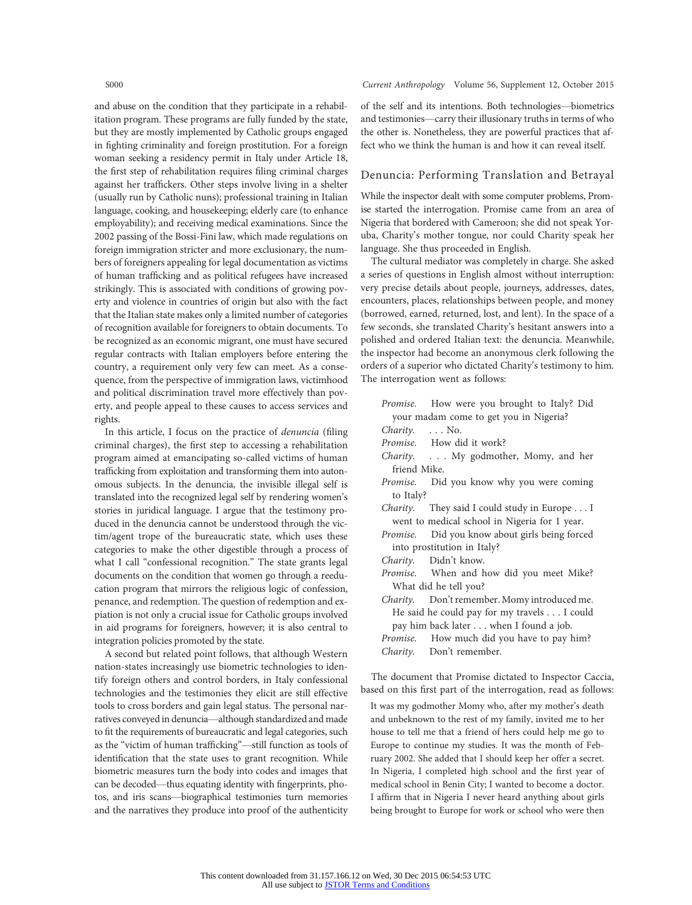and abuse on the condition that they participate in a rehabilitation program. These programs are fully funded by the state, but they are mostly implemented by Catholic groups engaged in fighting criminality and foreign prostitution. For a foreign woman seeking a residency permit in Italy under Article 18, the first step of rehabilitation requires filing criminal charges against her traffickers. Other steps involve living in a shelter (usually run by Catholic nuns); professional training in Italian language, cooking, and housekeeping; elderly care (to enhance employability); and receiving medical examinations. Since the 2002 passing of the Bossi-Fini law, which made regulations on foreign immigration stricter and more exclusionary, the numbers of foreigners appealing for legal documentation as victims of human trafficking and as political refugees have increased strikingly. This is associated with conditions of growing poverty and violence in countries of origin but also with the fact that the Italian state makes only a limited number of categories of recognition available for foreigners to obtain documents. To be recognized as an economic migrant, one must have secured regular contracts with Italian employers before entering the country, a requirement only very few can meet. As a consequence, from the perspective of immigration laws, victimhood and political discrimination travel more effectively than poverty, and people appeal to these causes to access services and rights.

In this article, I focus on the practice of denuncia (filing criminal charges), the first step to accessing a rehabilitation program aimed at emancipating so-called victims of human trafficking from exploitation and transforming them into autonomous subjects. In the denuncia, the invisible illegal self is translated into the recognized legal self by rendering women's stories in juridical language. I argue that the testimony produced in the denuncia cannot be understood through the victim/agent trope of the bureaucratic state, which uses these categories to make the other digestible through a process of what I call "confessional recognition." The state grants legal documents on the condition that women go through a reeducation program that mirrors the religious logic of confession, penance, and redemption. The question of redemption and expiation is not only a crucial issue for Catholic groups involved in aid programs for foreigners, however; it is also central to integration policies promoted by the state.

A second but related point follows, that although Western nation-states increasingly use biometric technologies to identify foreign others and control borders, in Italy confessional technologies and the testimonies they elicit are still effective tools to cross borders and gain legal status. The personal narratives conveyed in denuncia—although standardized and made to fit the requirements of bureaucratic and legal categories, such as the "victim of human trafficking"—still function as tools of identification that the state uses to grant recognition. While biometric measures turn the body into codes and images that can be decoded—thus equating identity with fingerprints, photos, and iris scans—biographical testimonies turn memories and the narratives they produce into proof of the authenticity

S000 Current Anthropology Volume 56, Supplement 12, October 2015

of the self and its intentions. Both technologies—biometrics and testimonies—carry their illusionary truths in terms of who the other is. Nonetheless, they are powerful practices that affect who we think the human is and how it can reveal itself.

### Denuncia: Performing Translation and Betrayal

While the inspector dealt with some computer problems, Promise started the interrogation. Promise came from an area of Nigeria that bordered with Cameroon; she did not speak Yoruba, Charity's mother tongue, nor could Charity speak her language. She thus proceeded in English.

The cultural mediator was completely in charge. She asked a series of questions in English almost without interruption: very precise details about people, journeys, addresses, dates, encounters, places, relationships between people, and money (borrowed, earned, returned, lost, and lent). In the space of a few seconds, she translated Charity's hesitant answers into a polished and ordered Italian text: the denuncia. Meanwhile, the inspector had become an anonymous clerk following the orders of a superior who dictated Charity's testimony to him. The interrogation went as follows:

|                              | <i>Promise.</i> How were you brought to Italy? Did |
|------------------------------|----------------------------------------------------|
|                              | your madam come to get you in Nigeria?             |
| <i>Charity.</i> $\ldots$ No. |                                                    |
| Promise.                     | How did it work?                                   |
| Charity                      | My godmother. Momy and her                         |

- Charity. . . . My godmother, Momy, and her friend Mike.
- Promise. Did you know why you were coming to Italy?
- Charity. They said I could study in Europe . . . I went to medical school in Nigeria for 1 year.
- Promise. Did you know about girls being forced into prostitution in Italy?
- Charity. Didn't know.
- Promise. When and how did you meet Mike? What did he tell you?
- Charity. Don't remember. Momy introduced me. He said he could pay for my travels . . . I could pay him back later . . . when I found a job.
- Promise. How much did you have to pay him? Charity. Don't remember.

The document that Promise dictated to Inspector Caccia, based on this first part of the interrogation, read as follows:

It was my godmother Momy who, after my mother's death and unbeknown to the rest of my family, invited me to her house to tell me that a friend of hers could help me go to Europe to continue my studies. It was the month of February 2002. She added that I should keep her offer a secret. In Nigeria, I completed high school and the first year of medical school in Benin City; I wanted to become a doctor. I affirm that in Nigeria I never heard anything about girls being brought to Europe for work or school who were then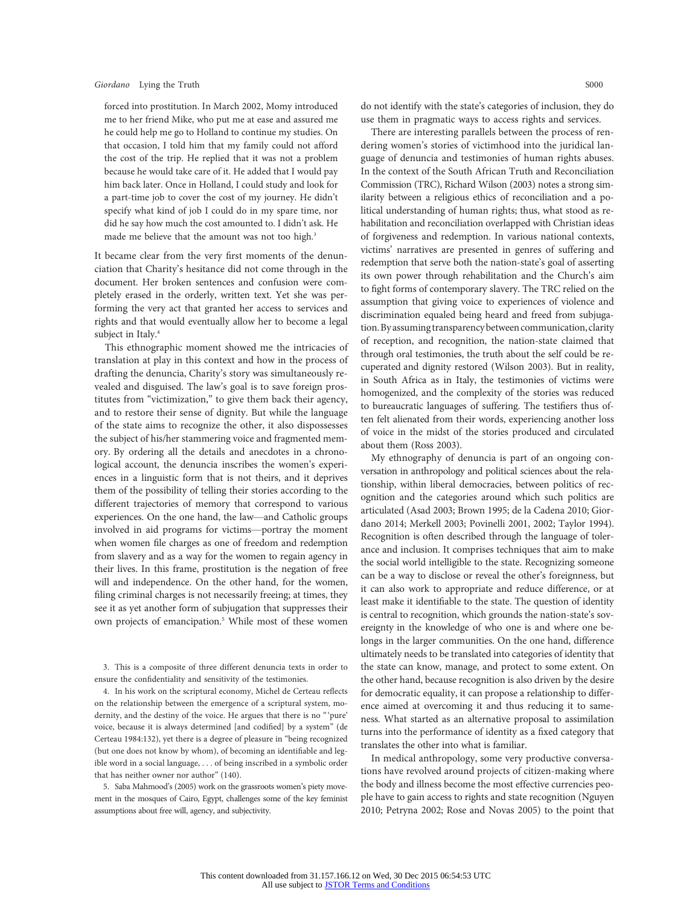forced into prostitution. In March 2002, Momy introduced me to her friend Mike, who put me at ease and assured me he could help me go to Holland to continue my studies. On that occasion, I told him that my family could not afford the cost of the trip. He replied that it was not a problem because he would take care of it. He added that I would pay him back later. Once in Holland, I could study and look for a part-time job to cover the cost of my journey. He didn't specify what kind of job I could do in my spare time, nor did he say how much the cost amounted to. I didn't ask. He made me believe that the amount was not too high.<sup>3</sup>

It became clear from the very first moments of the denunciation that Charity's hesitance did not come through in the document. Her broken sentences and confusion were completely erased in the orderly, written text. Yet she was performing the very act that granted her access to services and rights and that would eventually allow her to become a legal subject in Italy.<sup>4</sup>

This ethnographic moment showed me the intricacies of translation at play in this context and how in the process of drafting the denuncia, Charity's story was simultaneously revealed and disguised. The law's goal is to save foreign prostitutes from "victimization," to give them back their agency, and to restore their sense of dignity. But while the language of the state aims to recognize the other, it also dispossesses the subject of his/her stammering voice and fragmented memory. By ordering all the details and anecdotes in a chronological account, the denuncia inscribes the women's experiences in a linguistic form that is not theirs, and it deprives them of the possibility of telling their stories according to the different trajectories of memory that correspond to various experiences. On the one hand, the law—and Catholic groups involved in aid programs for victims—portray the moment when women file charges as one of freedom and redemption from slavery and as a way for the women to regain agency in their lives. In this frame, prostitution is the negation of free will and independence. On the other hand, for the women, filing criminal charges is not necessarily freeing; at times, they see it as yet another form of subjugation that suppresses their own projects of emancipation.<sup>5</sup> While most of these women

3. This is a composite of three different denuncia texts in order to ensure the confidentiality and sensitivity of the testimonies.

4. In his work on the scriptural economy, Michel de Certeau reflects on the relationship between the emergence of a scriptural system, modernity, and the destiny of the voice. He argues that there is no " 'pure' voice, because it is always determined [and codified] by a system" (de Certeau 1984:132), yet there is a degree of pleasure in "being recognized (but one does not know by whom), of becoming an identifiable and legible word in a social language, . . . of being inscribed in a symbolic order that has neither owner nor author" (140).

5. Saba Mahmood's (2005) work on the grassroots women's piety movement in the mosques of Cairo, Egypt, challenges some of the key feminist assumptions about free will, agency, and subjectivity.

do not identify with the state's categories of inclusion, they do use them in pragmatic ways to access rights and services.

There are interesting parallels between the process of rendering women's stories of victimhood into the juridical language of denuncia and testimonies of human rights abuses. In the context of the South African Truth and Reconciliation Commission (TRC), Richard Wilson (2003) notes a strong similarity between a religious ethics of reconciliation and a political understanding of human rights; thus, what stood as rehabilitation and reconciliation overlapped with Christian ideas of forgiveness and redemption. In various national contexts, victims' narratives are presented in genres of suffering and redemption that serve both the nation-state's goal of asserting its own power through rehabilitation and the Church's aim to fight forms of contemporary slavery. The TRC relied on the assumption that giving voice to experiences of violence and discrimination equaled being heard and freed from subjugation.Byassuming transparency between communication,clarity of reception, and recognition, the nation-state claimed that through oral testimonies, the truth about the self could be recuperated and dignity restored (Wilson 2003). But in reality, in South Africa as in Italy, the testimonies of victims were homogenized, and the complexity of the stories was reduced to bureaucratic languages of suffering. The testifiers thus often felt alienated from their words, experiencing another loss of voice in the midst of the stories produced and circulated about them (Ross 2003).

My ethnography of denuncia is part of an ongoing conversation in anthropology and political sciences about the relationship, within liberal democracies, between politics of recognition and the categories around which such politics are articulated (Asad 2003; Brown 1995; de la Cadena 2010; Giordano 2014; Merkell 2003; Povinelli 2001, 2002; Taylor 1994). Recognition is often described through the language of tolerance and inclusion. It comprises techniques that aim to make the social world intelligible to the state. Recognizing someone can be a way to disclose or reveal the other's foreignness, but it can also work to appropriate and reduce difference, or at least make it identifiable to the state. The question of identity is central to recognition, which grounds the nation-state's sovereignty in the knowledge of who one is and where one belongs in the larger communities. On the one hand, difference ultimately needs to be translated into categories of identity that the state can know, manage, and protect to some extent. On the other hand, because recognition is also driven by the desire for democratic equality, it can propose a relationship to difference aimed at overcoming it and thus reducing it to sameness. What started as an alternative proposal to assimilation turns into the performance of identity as a fixed category that translates the other into what is familiar.

In medical anthropology, some very productive conversations have revolved around projects of citizen-making where the body and illness become the most effective currencies people have to gain access to rights and state recognition (Nguyen 2010; Petryna 2002; Rose and Novas 2005) to the point that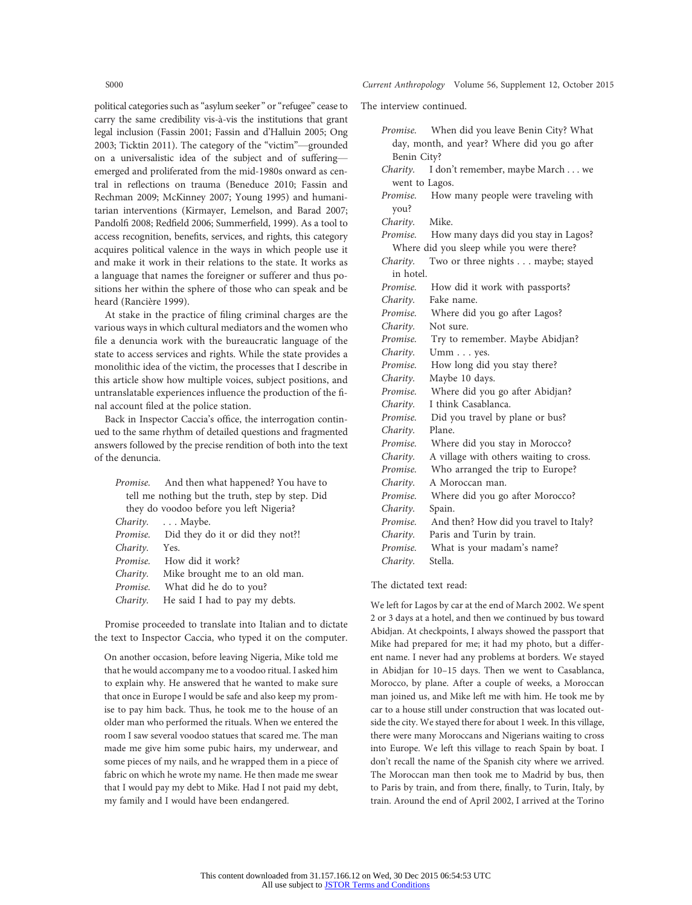political categories such as "asylum seeker" or "refugee" cease to carry the same credibility vis-à-vis the institutions that grant legal inclusion (Fassin 2001; Fassin and d'Halluin 2005; Ong 2003; Ticktin 2011). The category of the "victim"—grounded on a universalistic idea of the subject and of suffering emerged and proliferated from the mid-1980s onward as central in reflections on trauma (Beneduce 2010; Fassin and Rechman 2009; McKinney 2007; Young 1995) and humanitarian interventions (Kirmayer, Lemelson, and Barad 2007; Pandolfi 2008; Redfield 2006; Summerfield, 1999). As a tool to access recognition, benefits, services, and rights, this category acquires political valence in the ways in which people use it and make it work in their relations to the state. It works as a language that names the foreigner or sufferer and thus positions her within the sphere of those who can speak and be heard (Rancière 1999).

At stake in the practice of filing criminal charges are the various ways in which cultural mediators and the women who file a denuncia work with the bureaucratic language of the state to access services and rights. While the state provides a monolithic idea of the victim, the processes that I describe in this article show how multiple voices, subject positions, and untranslatable experiences influence the production of the final account filed at the police station.

Back in Inspector Caccia's office, the interrogation continued to the same rhythm of detailed questions and fragmented answers followed by the precise rendition of both into the text of the denuncia.

|          | <i>Promise.</i> And then what happened? You have to |
|----------|-----------------------------------------------------|
|          | tell me nothing but the truth, step by step. Did    |
|          | they do voodoo before you left Nigeria?             |
|          | Charity.  Maybe.                                    |
|          | Promise. Did they do it or did they not?!           |
| Charity. | Yes.                                                |
| Promise. | How did it work?                                    |
| Charity. | Mike brought me to an old man.                      |
| Promise. | What did he do to you?                              |
| Charity. | He said I had to pay my debts.                      |

Promise proceeded to translate into Italian and to dictate the text to Inspector Caccia, who typed it on the computer.

On another occasion, before leaving Nigeria, Mike told me that he would accompany me to a voodoo ritual. I asked him to explain why. He answered that he wanted to make sure that once in Europe I would be safe and also keep my promise to pay him back. Thus, he took me to the house of an older man who performed the rituals. When we entered the room I saw several voodoo statues that scared me. The man made me give him some pubic hairs, my underwear, and some pieces of my nails, and he wrapped them in a piece of fabric on which he wrote my name. He then made me swear that I would pay my debt to Mike. Had I not paid my debt, my family and I would have been endangered.

S000 Current Anthropology Volume 56, Supplement 12, October 2015

The interview continued.

| Promise.                                  | When did you leave Benin City? What          |  |
|-------------------------------------------|----------------------------------------------|--|
|                                           | day, month, and year? Where did you go after |  |
| Benin City?                               |                                              |  |
| Charity.                                  | I don't remember, maybe March we             |  |
| went to Lagos.                            |                                              |  |
| Promise.                                  | How many people were traveling with          |  |
| you?                                      |                                              |  |
| Charity.                                  | Mike.                                        |  |
| Promise.                                  | How many days did you stay in Lagos?         |  |
| Where did you sleep while you were there? |                                              |  |
| Charity.                                  | Two or three nights maybe; stayed            |  |
| in hotel.                                 |                                              |  |
| Promise.                                  | How did it work with passports?              |  |
| Charity.                                  | Fake name.                                   |  |
| Promise.                                  | Where did you go after Lagos?                |  |
| Charity.                                  | Not sure.                                    |  |
| Promise.                                  | Try to remember. Maybe Abidjan?              |  |
| Charity.                                  | $Umm$ yes.                                   |  |
| Promise.                                  | How long did you stay there?                 |  |
| Charity.                                  | Maybe 10 days.                               |  |
| Promise.                                  | Where did you go after Abidjan?              |  |
| Charity.                                  | I think Casablanca.                          |  |
| Promise.                                  | Did you travel by plane or bus?              |  |
| Charity.                                  | Plane.                                       |  |
| Promise.                                  | Where did you stay in Morocco?               |  |
| Charity.                                  | A village with others waiting to cross.      |  |
| Promise.                                  | Who arranged the trip to Europe?             |  |
| Charity.                                  | A Moroccan man.                              |  |
| Promise.                                  | Where did you go after Morocco?              |  |
| Charity.                                  | Spain.                                       |  |
| Promise.                                  | And then? How did you travel to Italy?       |  |
| Charity.                                  | Paris and Turin by train.                    |  |
| Promise.                                  | What is your madam's name?                   |  |
| Charity.                                  | Stella.                                      |  |

#### The dictated text read:

We left for Lagos by car at the end of March 2002. We spent 2 or 3 days at a hotel, and then we continued by bus toward Abidjan. At checkpoints, I always showed the passport that Mike had prepared for me; it had my photo, but a different name. I never had any problems at borders. We stayed in Abidjan for 10–15 days. Then we went to Casablanca, Morocco, by plane. After a couple of weeks, a Moroccan man joined us, and Mike left me with him. He took me by car to a house still under construction that was located outside the city. We stayed there for about 1 week. In this village, there were many Moroccans and Nigerians waiting to cross into Europe. We left this village to reach Spain by boat. I don't recall the name of the Spanish city where we arrived. The Moroccan man then took me to Madrid by bus, then to Paris by train, and from there, finally, to Turin, Italy, by train. Around the end of April 2002, I arrived at the Torino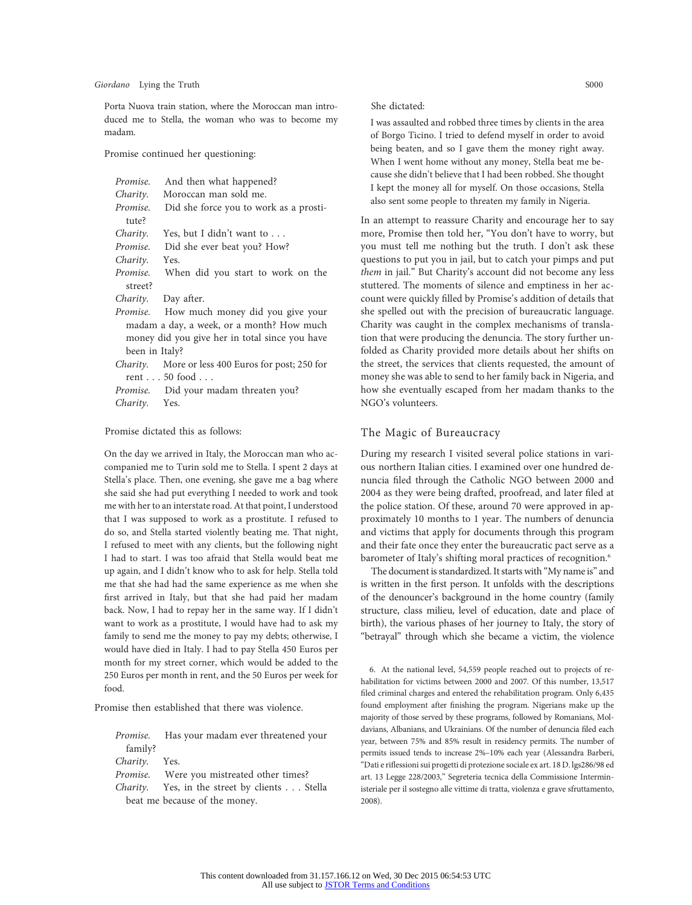#### Giordano Lying the Truth S000

Porta Nuova train station, where the Moroccan man introduced me to Stella, the woman who was to become my madam.

Promise continued her questioning:

| And then what happened?                           |  |  |
|---------------------------------------------------|--|--|
| Moroccan man sold me.                             |  |  |
| Did she force you to work as a prosti-            |  |  |
|                                                   |  |  |
| Yes, but I didn't want to                         |  |  |
| Did she ever beat you? How?                       |  |  |
| Charity. Yes.                                     |  |  |
| Promise. When did you start to work on the        |  |  |
|                                                   |  |  |
| Charity. Day after.                               |  |  |
| How much money did you give your                  |  |  |
| madam a day, a week, or a month? How much         |  |  |
| money did you give her in total since you have    |  |  |
| been in Italy?                                    |  |  |
| Charity. More or less 400 Euros for post; 250 for |  |  |
| rent 50 food                                      |  |  |
| Promise. Did your madam threaten you?             |  |  |
| Charity. Yes.                                     |  |  |
|                                                   |  |  |

Promise dictated this as follows:

On the day we arrived in Italy, the Moroccan man who accompanied me to Turin sold me to Stella. I spent 2 days at Stella's place. Then, one evening, she gave me a bag where she said she had put everything I needed to work and took me with her to an interstate road. At that point, I understood that I was supposed to work as a prostitute. I refused to do so, and Stella started violently beating me. That night, I refused to meet with any clients, but the following night I had to start. I was too afraid that Stella would beat me up again, and I didn't know who to ask for help. Stella told me that she had had the same experience as me when she first arrived in Italy, but that she had paid her madam back. Now, I had to repay her in the same way. If I didn't want to work as a prostitute, I would have had to ask my family to send me the money to pay my debts; otherwise, I would have died in Italy. I had to pay Stella 450 Euros per month for my street corner, which would be added to the 250 Euros per month in rent, and the 50 Euros per week for food.

Promise then established that there was violence.

|               | Promise. Has your madam ever threatened your  |
|---------------|-----------------------------------------------|
| family?       |                                               |
| Charity. Yes. |                                               |
|               | Promise. Were you mistreated other times?     |
|               | Charity. Yes, in the street by clients Stella |
|               | beat me because of the money.                 |

She dictated:

I was assaulted and robbed three times by clients in the area of Borgo Ticino. I tried to defend myself in order to avoid being beaten, and so I gave them the money right away. When I went home without any money, Stella beat me because she didn't believe that I had been robbed. She thought I kept the money all for myself. On those occasions, Stella also sent some people to threaten my family in Nigeria.

In an attempt to reassure Charity and encourage her to say more, Promise then told her, "You don't have to worry, but you must tell me nothing but the truth. I don't ask these questions to put you in jail, but to catch your pimps and put them in jail." But Charity's account did not become any less stuttered. The moments of silence and emptiness in her account were quickly filled by Promise's addition of details that she spelled out with the precision of bureaucratic language. Charity was caught in the complex mechanisms of translation that were producing the denuncia. The story further unfolded as Charity provided more details about her shifts on the street, the services that clients requested, the amount of money she was able to send to her family back in Nigeria, and how she eventually escaped from her madam thanks to the NGO's volunteers.

#### The Magic of Bureaucracy

During my research I visited several police stations in various northern Italian cities. I examined over one hundred denuncia filed through the Catholic NGO between 2000 and 2004 as they were being drafted, proofread, and later filed at the police station. Of these, around 70 were approved in approximately 10 months to 1 year. The numbers of denuncia and victims that apply for documents through this program and their fate once they enter the bureaucratic pact serve as a barometer of Italy's shifting moral practices of recognition.<sup>6</sup>

The document is standardized. It starts with "My name is" and is written in the first person. It unfolds with the descriptions of the denouncer's background in the home country (family structure, class milieu, level of education, date and place of birth), the various phases of her journey to Italy, the story of "betrayal" through which she became a victim, the violence

6. At the national level, 54,559 people reached out to projects of rehabilitation for victims between 2000 and 2007. Of this number, 13,517 filed criminal charges and entered the rehabilitation program. Only 6,435 found employment after finishing the program. Nigerians make up the majority of those served by these programs, followed by Romanians, Moldavians, Albanians, and Ukrainians. Of the number of denuncia filed each year, between 75% and 85% result in residency permits. The number of permits issued tends to increase 2%–10% each year (Alessandra Barberi, "Dati e riflessioni sui progetti di protezione sociale ex art. 18 D. lgs286/98 ed art. 13 Legge 228/2003," Segreteria tecnica della Commissione Interministeriale per il sostegno alle vittime di tratta, violenza e grave sfruttamento, 2008).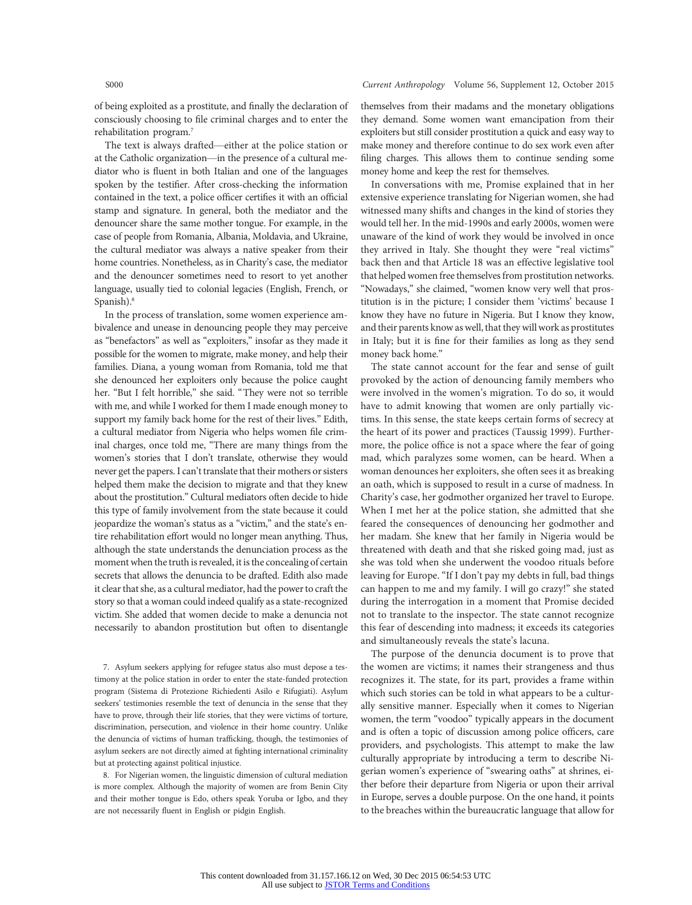of being exploited as a prostitute, and finally the declaration of consciously choosing to file criminal charges and to enter the rehabilitation program.7

The text is always drafted—either at the police station or at the Catholic organization—in the presence of a cultural mediator who is fluent in both Italian and one of the languages spoken by the testifier. After cross-checking the information contained in the text, a police officer certifies it with an official stamp and signature. In general, both the mediator and the denouncer share the same mother tongue. For example, in the case of people from Romania, Albania, Moldavia, and Ukraine, the cultural mediator was always a native speaker from their home countries. Nonetheless, as in Charity's case, the mediator and the denouncer sometimes need to resort to yet another language, usually tied to colonial legacies (English, French, or Spanish).8

In the process of translation, some women experience ambivalence and unease in denouncing people they may perceive as "benefactors" as well as "exploiters," insofar as they made it possible for the women to migrate, make money, and help their families. Diana, a young woman from Romania, told me that she denounced her exploiters only because the police caught her. "But I felt horrible," she said. "They were not so terrible with me, and while I worked for them I made enough money to support my family back home for the rest of their lives." Edith, a cultural mediator from Nigeria who helps women file criminal charges, once told me, "There are many things from the women's stories that I don't translate, otherwise they would never get the papers. I can't translate that their mothers or sisters helped them make the decision to migrate and that they knew about the prostitution." Cultural mediators often decide to hide this type of family involvement from the state because it could jeopardize the woman's status as a "victim," and the state's entire rehabilitation effort would no longer mean anything. Thus, although the state understands the denunciation process as the moment when the truth is revealed, it is the concealing of certain secrets that allows the denuncia to be drafted. Edith also made it clear that she, as a cultural mediator, had the power to craft the story so that a woman could indeed qualify as a state-recognized victim. She added that women decide to make a denuncia not necessarily to abandon prostitution but often to disentangle

7. Asylum seekers applying for refugee status also must depose a testimony at the police station in order to enter the state-funded protection program (Sistema di Protezione Richiedenti Asilo e Rifugiati). Asylum seekers' testimonies resemble the text of denuncia in the sense that they have to prove, through their life stories, that they were victims of torture, discrimination, persecution, and violence in their home country. Unlike the denuncia of victims of human trafficking, though, the testimonies of asylum seekers are not directly aimed at fighting international criminality but at protecting against political injustice.

8. For Nigerian women, the linguistic dimension of cultural mediation is more complex. Although the majority of women are from Benin City and their mother tongue is Edo, others speak Yoruba or Igbo, and they are not necessarily fluent in English or pidgin English.

themselves from their madams and the monetary obligations they demand. Some women want emancipation from their exploiters but still consider prostitution a quick and easy way to make money and therefore continue to do sex work even after filing charges. This allows them to continue sending some money home and keep the rest for themselves.

In conversations with me, Promise explained that in her extensive experience translating for Nigerian women, she had witnessed many shifts and changes in the kind of stories they would tell her. In the mid-1990s and early 2000s, women were unaware of the kind of work they would be involved in once they arrived in Italy. She thought they were "real victims" back then and that Article 18 was an effective legislative tool that helped women free themselves from prostitution networks. "Nowadays," she claimed, "women know very well that prostitution is in the picture; I consider them 'victims' because I know they have no future in Nigeria. But I know they know, and their parents know as well, that they will work as prostitutes in Italy; but it is fine for their families as long as they send money back home."

The state cannot account for the fear and sense of guilt provoked by the action of denouncing family members who were involved in the women's migration. To do so, it would have to admit knowing that women are only partially victims. In this sense, the state keeps certain forms of secrecy at the heart of its power and practices (Taussig 1999). Furthermore, the police office is not a space where the fear of going mad, which paralyzes some women, can be heard. When a woman denounces her exploiters, she often sees it as breaking an oath, which is supposed to result in a curse of madness. In Charity's case, her godmother organized her travel to Europe. When I met her at the police station, she admitted that she feared the consequences of denouncing her godmother and her madam. She knew that her family in Nigeria would be threatened with death and that she risked going mad, just as she was told when she underwent the voodoo rituals before leaving for Europe. "If I don't pay my debts in full, bad things can happen to me and my family. I will go crazy!" she stated during the interrogation in a moment that Promise decided not to translate to the inspector. The state cannot recognize this fear of descending into madness; it exceeds its categories and simultaneously reveals the state's lacuna.

The purpose of the denuncia document is to prove that the women are victims; it names their strangeness and thus recognizes it. The state, for its part, provides a frame within which such stories can be told in what appears to be a culturally sensitive manner. Especially when it comes to Nigerian women, the term "voodoo" typically appears in the document and is often a topic of discussion among police officers, care providers, and psychologists. This attempt to make the law culturally appropriate by introducing a term to describe Nigerian women's experience of "swearing oaths" at shrines, either before their departure from Nigeria or upon their arrival in Europe, serves a double purpose. On the one hand, it points to the breaches within the bureaucratic language that allow for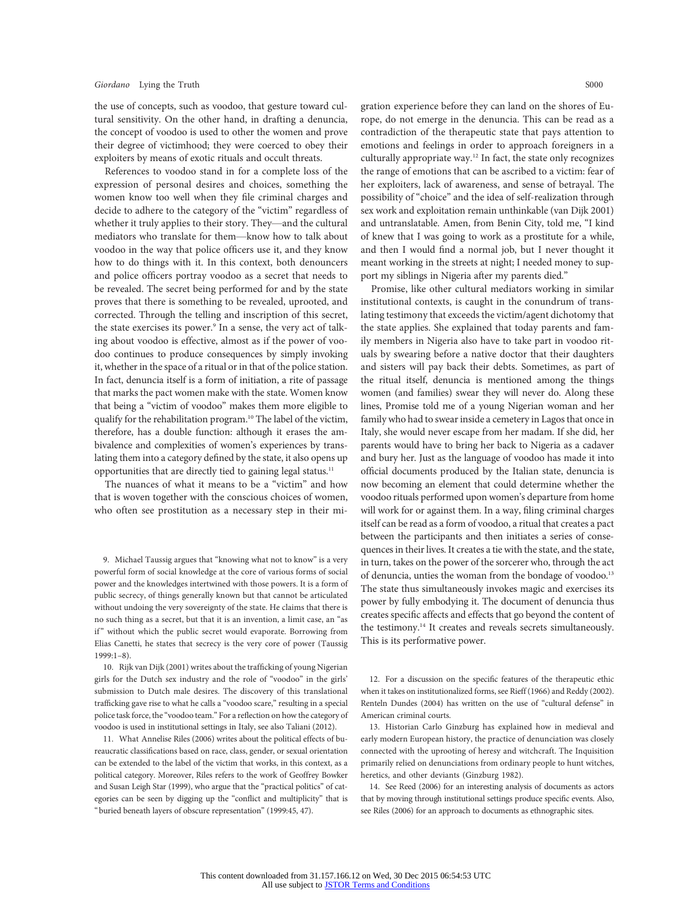#### Giordano Lying the Truth S000

the use of concepts, such as voodoo, that gesture toward cultural sensitivity. On the other hand, in drafting a denuncia, the concept of voodoo is used to other the women and prove their degree of victimhood; they were coerced to obey their exploiters by means of exotic rituals and occult threats.

References to voodoo stand in for a complete loss of the expression of personal desires and choices, something the women know too well when they file criminal charges and decide to adhere to the category of the "victim" regardless of whether it truly applies to their story. They—and the cultural mediators who translate for them—know how to talk about voodoo in the way that police officers use it, and they know how to do things with it. In this context, both denouncers and police officers portray voodoo as a secret that needs to be revealed. The secret being performed for and by the state proves that there is something to be revealed, uprooted, and corrected. Through the telling and inscription of this secret, the state exercises its power.<sup>9</sup> In a sense, the very act of talking about voodoo is effective, almost as if the power of voodoo continues to produce consequences by simply invoking it, whether in the space of a ritual or in that of the police station. In fact, denuncia itself is a form of initiation, a rite of passage that marks the pact women make with the state. Women know that being a "victim of voodoo" makes them more eligible to qualify for the rehabilitation program.<sup>10</sup> The label of the victim, therefore, has a double function: although it erases the ambivalence and complexities of women's experiences by translating them into a category defined by the state, it also opens up opportunities that are directly tied to gaining legal status.<sup>11</sup>

The nuances of what it means to be a "victim" and how that is woven together with the conscious choices of women, who often see prostitution as a necessary step in their mi-

9. Michael Taussig argues that "knowing what not to know" is a very powerful form of social knowledge at the core of various forms of social power and the knowledges intertwined with those powers. It is a form of public secrecy, of things generally known but that cannot be articulated without undoing the very sovereignty of the state. He claims that there is no such thing as a secret, but that it is an invention, a limit case, an "as if" without which the public secret would evaporate. Borrowing from Elias Canetti, he states that secrecy is the very core of power (Taussig  $1999:1-8$ 

10. Rijk van Dijk (2001) writes about the trafficking of young Nigerian girls for the Dutch sex industry and the role of "voodoo" in the girls' submission to Dutch male desires. The discovery of this translational trafficking gave rise to what he calls a "voodoo scare," resulting in a special police task force, the "voodoo team." For a reflection on how the category of voodoo is used in institutional settings in Italy, see also Taliani (2012).

11. What Annelise Riles (2006) writes about the political effects of bureaucratic classifications based on race, class, gender, or sexual orientation can be extended to the label of the victim that works, in this context, as a political category. Moreover, Riles refers to the work of Geoffrey Bowker and Susan Leigh Star (1999), who argue that the "practical politics" of categories can be seen by digging up the "conflict and multiplicity" that is "buried beneath layers of obscure representation" (1999:45, 47).

gration experience before they can land on the shores of Europe, do not emerge in the denuncia. This can be read as a contradiction of the therapeutic state that pays attention to emotions and feelings in order to approach foreigners in a culturally appropriate way.12 In fact, the state only recognizes the range of emotions that can be ascribed to a victim: fear of her exploiters, lack of awareness, and sense of betrayal. The possibility of "choice" and the idea of self-realization through sex work and exploitation remain unthinkable (van Dijk 2001) and untranslatable. Amen, from Benin City, told me, "I kind of knew that I was going to work as a prostitute for a while, and then I would find a normal job, but I never thought it meant working in the streets at night; I needed money to support my siblings in Nigeria after my parents died."

Promise, like other cultural mediators working in similar institutional contexts, is caught in the conundrum of translating testimony that exceeds the victim/agent dichotomy that the state applies. She explained that today parents and family members in Nigeria also have to take part in voodoo rituals by swearing before a native doctor that their daughters and sisters will pay back their debts. Sometimes, as part of the ritual itself, denuncia is mentioned among the things women (and families) swear they will never do. Along these lines, Promise told me of a young Nigerian woman and her family who had to swear inside a cemetery in Lagos that once in Italy, she would never escape from her madam. If she did, her parents would have to bring her back to Nigeria as a cadaver and bury her. Just as the language of voodoo has made it into official documents produced by the Italian state, denuncia is now becoming an element that could determine whether the voodoo rituals performed upon women's departure from home will work for or against them. In a way, filing criminal charges itself can be read as a form of voodoo, a ritual that creates a pact between the participants and then initiates a series of consequences in their lives. It creates a tie with the state, and the state, in turn, takes on the power of the sorcerer who, through the act of denuncia, unties the woman from the bondage of voodoo.<sup>13</sup> The state thus simultaneously invokes magic and exercises its power by fully embodying it. The document of denuncia thus creates specific affects and effects that go beyond the content of the testimony.<sup>14</sup> It creates and reveals secrets simultaneously. This is its performative power.

12. For a discussion on the specific features of the therapeutic ethic when it takes on institutionalized forms, see Rieff (1966) and Reddy (2002). Renteln Dundes (2004) has written on the use of "cultural defense" in American criminal courts.

13. Historian Carlo Ginzburg has explained how in medieval and early modern European history, the practice of denunciation was closely connected with the uprooting of heresy and witchcraft. The Inquisition primarily relied on denunciations from ordinary people to hunt witches, heretics, and other deviants (Ginzburg 1982).

14. See Reed (2006) for an interesting analysis of documents as actors that by moving through institutional settings produce specific events. Also, see Riles (2006) for an approach to documents as ethnographic sites.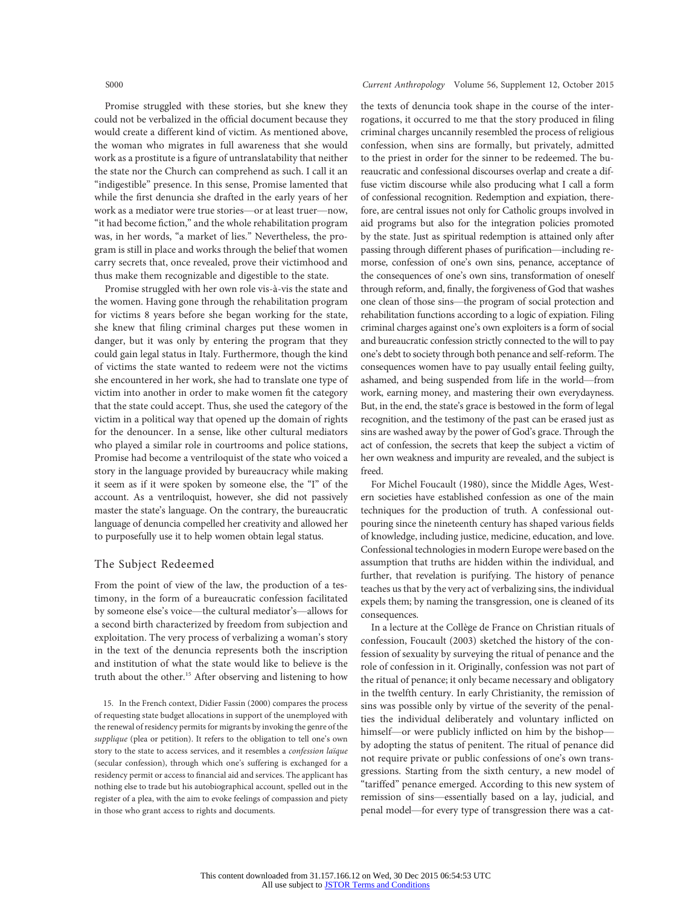#### S000 Current Anthropology Volume 56, Supplement 12, October 2015

Promise struggled with these stories, but she knew they could not be verbalized in the official document because they would create a different kind of victim. As mentioned above, the woman who migrates in full awareness that she would work as a prostitute is a figure of untranslatability that neither the state nor the Church can comprehend as such. I call it an "indigestible" presence. In this sense, Promise lamented that while the first denuncia she drafted in the early years of her work as a mediator were true stories—or at least truer—now, "it had become fiction," and the whole rehabilitation program was, in her words, "a market of lies." Nevertheless, the program is still in place and works through the belief that women carry secrets that, once revealed, prove their victimhood and thus make them recognizable and digestible to the state.

Promise struggled with her own role vis-à-vis the state and the women. Having gone through the rehabilitation program for victims 8 years before she began working for the state, she knew that filing criminal charges put these women in danger, but it was only by entering the program that they could gain legal status in Italy. Furthermore, though the kind of victims the state wanted to redeem were not the victims she encountered in her work, she had to translate one type of victim into another in order to make women fit the category that the state could accept. Thus, she used the category of the victim in a political way that opened up the domain of rights for the denouncer. In a sense, like other cultural mediators who played a similar role in courtrooms and police stations, Promise had become a ventriloquist of the state who voiced a story in the language provided by bureaucracy while making it seem as if it were spoken by someone else, the "I" of the account. As a ventriloquist, however, she did not passively master the state's language. On the contrary, the bureaucratic language of denuncia compelled her creativity and allowed her to purposefully use it to help women obtain legal status.

#### The Subject Redeemed

From the point of view of the law, the production of a testimony, in the form of a bureaucratic confession facilitated by someone else's voice—the cultural mediator's—allows for a second birth characterized by freedom from subjection and exploitation. The very process of verbalizing a woman's story in the text of the denuncia represents both the inscription and institution of what the state would like to believe is the truth about the other.<sup>15</sup> After observing and listening to how

15. In the French context, Didier Fassin (2000) compares the process of requesting state budget allocations in support of the unemployed with the renewal of residency permits for migrants by invoking the genre of the supplique (plea or petition). It refers to the obligation to tell one's own story to the state to access services, and it resembles a confession laïque (secular confession), through which one's suffering is exchanged for a residency permit or access to financial aid and services. The applicant has nothing else to trade but his autobiographical account, spelled out in the register of a plea, with the aim to evoke feelings of compassion and piety in those who grant access to rights and documents.

the texts of denuncia took shape in the course of the interrogations, it occurred to me that the story produced in filing criminal charges uncannily resembled the process of religious confession, when sins are formally, but privately, admitted to the priest in order for the sinner to be redeemed. The bureaucratic and confessional discourses overlap and create a diffuse victim discourse while also producing what I call a form of confessional recognition. Redemption and expiation, therefore, are central issues not only for Catholic groups involved in aid programs but also for the integration policies promoted by the state. Just as spiritual redemption is attained only after passing through different phases of purification—including remorse, confession of one's own sins, penance, acceptance of the consequences of one's own sins, transformation of oneself through reform, and, finally, the forgiveness of God that washes one clean of those sins—the program of social protection and rehabilitation functions according to a logic of expiation. Filing criminal charges against one's own exploiters is a form of social and bureaucratic confession strictly connected to the will to pay one's debt to society through both penance and self-reform. The consequences women have to pay usually entail feeling guilty, ashamed, and being suspended from life in the world—from work, earning money, and mastering their own everydayness. But, in the end, the state's grace is bestowed in the form of legal recognition, and the testimony of the past can be erased just as sins are washed away by the power of God's grace. Through the act of confession, the secrets that keep the subject a victim of her own weakness and impurity are revealed, and the subject is freed.

For Michel Foucault (1980), since the Middle Ages, Western societies have established confession as one of the main techniques for the production of truth. A confessional outpouring since the nineteenth century has shaped various fields of knowledge, including justice, medicine, education, and love. Confessional technologies in modern Europe were based on the assumption that truths are hidden within the individual, and further, that revelation is purifying. The history of penance teaches us that by the very act of verbalizing sins, the individual expels them; by naming the transgression, one is cleaned of its consequences.

In a lecture at the Collège de France on Christian rituals of confession, Foucault (2003) sketched the history of the confession of sexuality by surveying the ritual of penance and the role of confession in it. Originally, confession was not part of the ritual of penance; it only became necessary and obligatory in the twelfth century. In early Christianity, the remission of sins was possible only by virtue of the severity of the penalties the individual deliberately and voluntary inflicted on himself—or were publicly inflicted on him by the bishop by adopting the status of penitent. The ritual of penance did not require private or public confessions of one's own transgressions. Starting from the sixth century, a new model of "tariffed" penance emerged. According to this new system of remission of sins—essentially based on a lay, judicial, and penal model—for every type of transgression there was a cat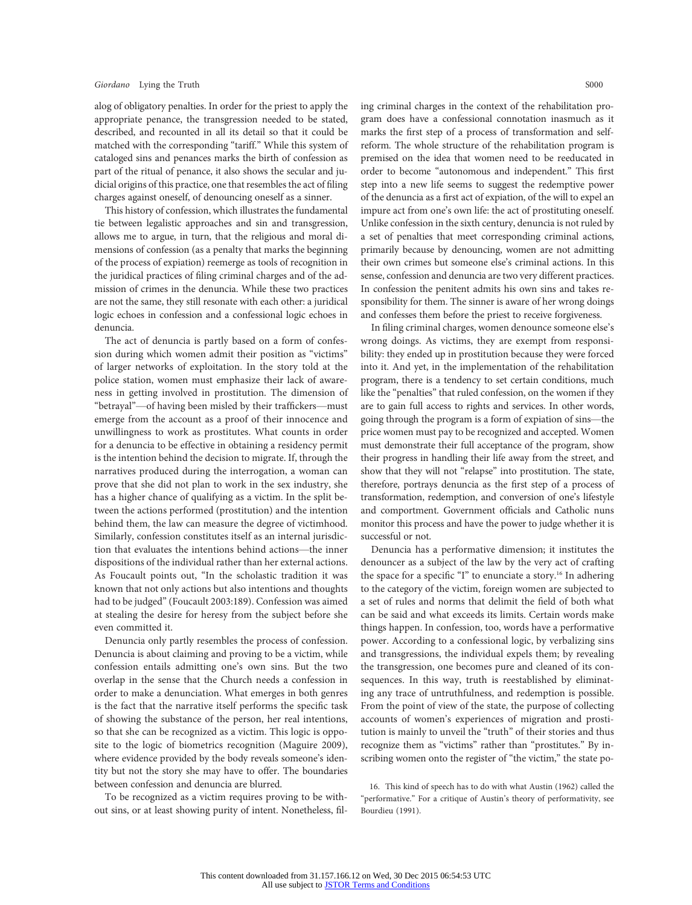alog of obligatory penalties. In order for the priest to apply the appropriate penance, the transgression needed to be stated, described, and recounted in all its detail so that it could be matched with the corresponding "tariff." While this system of cataloged sins and penances marks the birth of confession as part of the ritual of penance, it also shows the secular and judicial origins of this practice, one that resembles the act of filing charges against oneself, of denouncing oneself as a sinner.

This history of confession, which illustrates the fundamental tie between legalistic approaches and sin and transgression, allows me to argue, in turn, that the religious and moral dimensions of confession (as a penalty that marks the beginning of the process of expiation) reemerge as tools of recognition in the juridical practices of filing criminal charges and of the admission of crimes in the denuncia. While these two practices are not the same, they still resonate with each other: a juridical logic echoes in confession and a confessional logic echoes in denuncia.

The act of denuncia is partly based on a form of confession during which women admit their position as "victims" of larger networks of exploitation. In the story told at the police station, women must emphasize their lack of awareness in getting involved in prostitution. The dimension of "betrayal"—of having been misled by their traffickers—must emerge from the account as a proof of their innocence and unwillingness to work as prostitutes. What counts in order for a denuncia to be effective in obtaining a residency permit is the intention behind the decision to migrate. If, through the narratives produced during the interrogation, a woman can prove that she did not plan to work in the sex industry, she has a higher chance of qualifying as a victim. In the split between the actions performed (prostitution) and the intention behind them, the law can measure the degree of victimhood. Similarly, confession constitutes itself as an internal jurisdiction that evaluates the intentions behind actions—the inner dispositions of the individual rather than her external actions. As Foucault points out, "In the scholastic tradition it was known that not only actions but also intentions and thoughts had to be judged" (Foucault 2003:189). Confession was aimed at stealing the desire for heresy from the subject before she even committed it.

Denuncia only partly resembles the process of confession. Denuncia is about claiming and proving to be a victim, while confession entails admitting one's own sins. But the two overlap in the sense that the Church needs a confession in order to make a denunciation. What emerges in both genres is the fact that the narrative itself performs the specific task of showing the substance of the person, her real intentions, so that she can be recognized as a victim. This logic is opposite to the logic of biometrics recognition (Maguire 2009), where evidence provided by the body reveals someone's identity but not the story she may have to offer. The boundaries between confession and denuncia are blurred.

To be recognized as a victim requires proving to be without sins, or at least showing purity of intent. Nonetheless, filing criminal charges in the context of the rehabilitation program does have a confessional connotation inasmuch as it marks the first step of a process of transformation and selfreform. The whole structure of the rehabilitation program is premised on the idea that women need to be reeducated in order to become "autonomous and independent." This first step into a new life seems to suggest the redemptive power of the denuncia as a first act of expiation, of the will to expel an impure act from one's own life: the act of prostituting oneself. Unlike confession in the sixth century, denuncia is not ruled by a set of penalties that meet corresponding criminal actions, primarily because by denouncing, women are not admitting their own crimes but someone else's criminal actions. In this sense, confession and denuncia are two very different practices. In confession the penitent admits his own sins and takes responsibility for them. The sinner is aware of her wrong doings and confesses them before the priest to receive forgiveness.

In filing criminal charges, women denounce someone else's wrong doings. As victims, they are exempt from responsibility: they ended up in prostitution because they were forced into it. And yet, in the implementation of the rehabilitation program, there is a tendency to set certain conditions, much like the "penalties" that ruled confession, on the women if they are to gain full access to rights and services. In other words, going through the program is a form of expiation of sins—the price women must pay to be recognized and accepted. Women must demonstrate their full acceptance of the program, show their progress in handling their life away from the street, and show that they will not "relapse" into prostitution. The state, therefore, portrays denuncia as the first step of a process of transformation, redemption, and conversion of one's lifestyle and comportment. Government officials and Catholic nuns monitor this process and have the power to judge whether it is successful or not.

Denuncia has a performative dimension; it institutes the denouncer as a subject of the law by the very act of crafting the space for a specific "I" to enunciate a story.16 In adhering to the category of the victim, foreign women are subjected to a set of rules and norms that delimit the field of both what can be said and what exceeds its limits. Certain words make things happen. In confession, too, words have a performative power. According to a confessional logic, by verbalizing sins and transgressions, the individual expels them; by revealing the transgression, one becomes pure and cleaned of its consequences. In this way, truth is reestablished by eliminating any trace of untruthfulness, and redemption is possible. From the point of view of the state, the purpose of collecting accounts of women's experiences of migration and prostitution is mainly to unveil the "truth" of their stories and thus recognize them as "victims" rather than "prostitutes." By inscribing women onto the register of "the victim," the state po-

16. This kind of speech has to do with what Austin (1962) called the "performative." For a critique of Austin's theory of performativity, see Bourdieu (1991).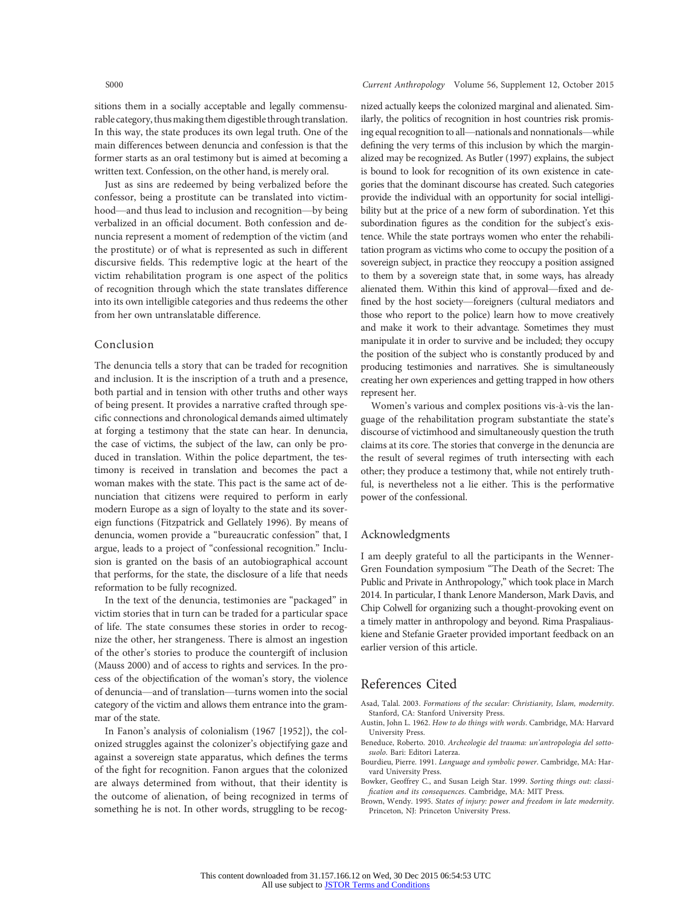#### S000 Current Anthropology Volume 56, Supplement 12, October 2015

sitions them in a socially acceptable and legally commensurable category, thus making them digestible through translation. In this way, the state produces its own legal truth. One of the main differences between denuncia and confession is that the former starts as an oral testimony but is aimed at becoming a written text. Confession, on the other hand, is merely oral.

Just as sins are redeemed by being verbalized before the confessor, being a prostitute can be translated into victimhood—and thus lead to inclusion and recognition—by being verbalized in an official document. Both confession and denuncia represent a moment of redemption of the victim (and the prostitute) or of what is represented as such in different discursive fields. This redemptive logic at the heart of the victim rehabilitation program is one aspect of the politics of recognition through which the state translates difference into its own intelligible categories and thus redeems the other from her own untranslatable difference.

#### Conclusion

The denuncia tells a story that can be traded for recognition and inclusion. It is the inscription of a truth and a presence, both partial and in tension with other truths and other ways of being present. It provides a narrative crafted through specific connections and chronological demands aimed ultimately at forging a testimony that the state can hear. In denuncia, the case of victims, the subject of the law, can only be produced in translation. Within the police department, the testimony is received in translation and becomes the pact a woman makes with the state. This pact is the same act of denunciation that citizens were required to perform in early modern Europe as a sign of loyalty to the state and its sovereign functions (Fitzpatrick and Gellately 1996). By means of denuncia, women provide a "bureaucratic confession" that, I argue, leads to a project of "confessional recognition." Inclusion is granted on the basis of an autobiographical account that performs, for the state, the disclosure of a life that needs reformation to be fully recognized.

In the text of the denuncia, testimonies are "packaged" in victim stories that in turn can be traded for a particular space of life. The state consumes these stories in order to recognize the other, her strangeness. There is almost an ingestion of the other's stories to produce the countergift of inclusion (Mauss 2000) and of access to rights and services. In the process of the objectification of the woman's story, the violence of denuncia—and of translation—turns women into the social category of the victim and allows them entrance into the grammar of the state.

In Fanon's analysis of colonialism (1967 [1952]), the colonized struggles against the colonizer's objectifying gaze and against a sovereign state apparatus, which defines the terms of the fight for recognition. Fanon argues that the colonized are always determined from without, that their identity is the outcome of alienation, of being recognized in terms of something he is not. In other words, struggling to be recognized actually keeps the colonized marginal and alienated. Similarly, the politics of recognition in host countries risk promising equal recognition to all—nationals and nonnationals—while defining the very terms of this inclusion by which the marginalized may be recognized. As Butler (1997) explains, the subject is bound to look for recognition of its own existence in categories that the dominant discourse has created. Such categories provide the individual with an opportunity for social intelligibility but at the price of a new form of subordination. Yet this subordination figures as the condition for the subject's existence. While the state portrays women who enter the rehabilitation program as victims who come to occupy the position of a sovereign subject, in practice they reoccupy a position assigned to them by a sovereign state that, in some ways, has already alienated them. Within this kind of approval—fixed and defined by the host society—foreigners (cultural mediators and those who report to the police) learn how to move creatively and make it work to their advantage. Sometimes they must manipulate it in order to survive and be included; they occupy the position of the subject who is constantly produced by and producing testimonies and narratives. She is simultaneously creating her own experiences and getting trapped in how others represent her.

Women's various and complex positions vis-à-vis the language of the rehabilitation program substantiate the state's discourse of victimhood and simultaneously question the truth claims at its core. The stories that converge in the denuncia are the result of several regimes of truth intersecting with each other; they produce a testimony that, while not entirely truthful, is nevertheless not a lie either. This is the performative power of the confessional.

#### Acknowledgments

I am deeply grateful to all the participants in the Wenner-Gren Foundation symposium "The Death of the Secret: The Public and Private in Anthropology," which took place in March 2014. In particular, I thank Lenore Manderson, Mark Davis, and Chip Colwell for organizing such a thought-provoking event on a timely matter in anthropology and beyond. Rima Praspaliauskiene and Stefanie Graeter provided important feedback on an earlier version of this article.

## References Cited

- Asad, Talal. 2003. Formations of the secular: Christianity, Islam, modernity. Stanford, CA: Stanford University Press.
- Austin, John L. 1962. How to do things with words. Cambridge, MA: Harvard University Press.
- Beneduce, Roberto. 2010. Archeologie del trauma: un'antropologia del sottosuolo. Bari: Editori Laterza.
- Bourdieu, Pierre. 1991. Language and symbolic power. Cambridge, MA: Harvard University Press.
- Bowker, Geoffrey C., and Susan Leigh Star. 1999. Sorting things out: classification and its consequences. Cambridge, MA: MIT Press.
- Brown, Wendy. 1995. States of injury: power and freedom in late modernity. Princeton, NJ: Princeton University Press.